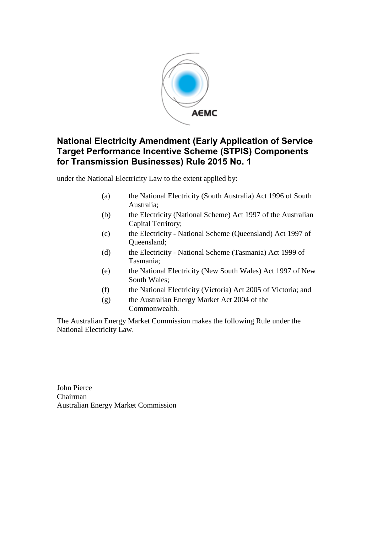

# **National Electricity Amendment (Early Application of Service Target Performance Incentive Scheme (STPIS) Components for Transmission Businesses) Rule 2015 No. 1**

under the National Electricity Law to the extent applied by:

- (a) the National Electricity (South Australia) Act 1996 of South Australia;
- (b) the Electricity (National Scheme) Act 1997 of the Australian Capital Territory;
- (c) the Electricity National Scheme (Queensland) Act 1997 of Queensland;
- (d) the Electricity National Scheme (Tasmania) Act 1999 of Tasmania;
- (e) the National Electricity (New South Wales) Act 1997 of New South Wales;
- (f) the National Electricity (Victoria) Act 2005 of Victoria; and
- (g) the Australian Energy Market Act 2004 of the Commonwealth.

The Australian Energy Market Commission makes the following Rule under the National Electricity Law.

John Pierce Chairman Australian Energy Market Commission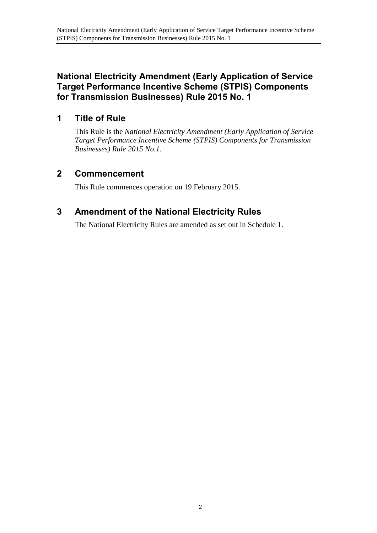# **National Electricity Amendment (Early Application of Service Target Performance Incentive Scheme (STPIS) Components for Transmission Businesses) Rule 2015 No. 1**

# **1 Title of Rule**

This Rule is the *National Electricity Amendment (Early Application of Service Target Performance Incentive Scheme (STPIS) Components for Transmission Businesses) Rule 2015 No.1*.

# **2 Commencement**

This Rule commences operation on 19 February 2015.

# <span id="page-1-0"></span>**3 Amendment of the National Electricity Rules**

The National Electricity Rules are amended as set out in [Schedule 1.](#page-2-0)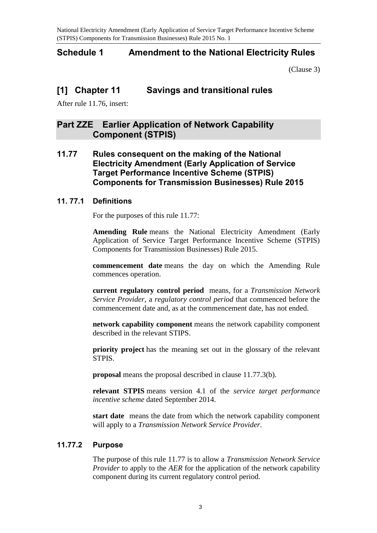National Electricity Amendment (Early Application of Service Target Performance Incentive Scheme (STPIS) Components for Transmission Businesses) Rule 2015 No. 1

# <span id="page-2-0"></span>**Schedule 1 Amendment to the National Electricity Rules**

[\(Clause 3\)](#page-1-0)

# **[1] Chapter 11 Savings and transitional rules**

After rule 11.76, insert:

# **Part ZZE Earlier Application of Network Capability Component (STPIS)**

**11.77 Rules consequent on the making of the National Electricity Amendment (Early Application of Service Target Performance Incentive Scheme (STPIS) Components for Transmission Businesses) Rule 2015**

## **11. 77.1 Definitions**

For the purposes of this rule 11.77:

**Amending Rule** means the National Electricity Amendment (Early Application of Service Target Performance Incentive Scheme (STPIS) Components for Transmission Businesses) Rule 2015.

**commencement date** means the day on which the Amending Rule commences operation.

**current regulatory control period** means, for a *Transmission Network Service Provider*, a *regulatory control period* that commenced before the commencement date and, as at the commencement date, has not ended.

**network capability component** means the network capability component described in the relevant STIPS.

**priority project** has the meaning set out in the glossary of the relevant STPIS.

**proposal** means the proposal described in clause 11.77.3(b).

**relevant STPIS** means version 4.1 of the *service target performance incentive scheme* dated September 2014.

**start date** means the date from which the network capability component will apply to a *Transmission Network Service Provider*.

# **11.77.2 Purpose**

The purpose of this rule 11.77 is to allow a *Transmission Network Service Provider* to apply to the *AER* for the application of the network capability component during its current regulatory control period.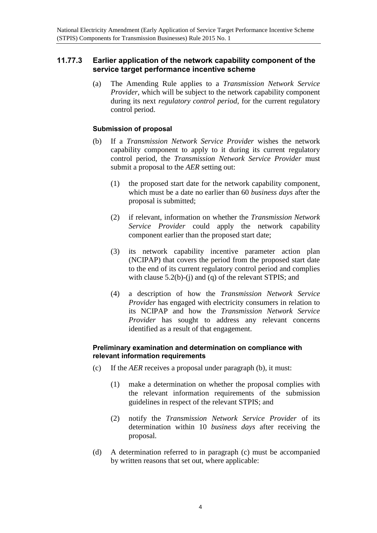## **11.77.3 Earlier application of the network capability component of the service target performance incentive scheme**

(a) The Amending Rule applies to a *Transmission Network Service Provider*, which will be subject to the network capability component during its next *regulatory control period*, for the current regulatory control period.

#### **Submission of proposal**

- (b) If a *Transmission Network Service Provider* wishes the network capability component to apply to it during its current regulatory control period, the *Transmission Network Service Provider* must submit a proposal to the *AER* setting out:
	- (1) the proposed start date for the network capability component, which must be a date no earlier than 60 *business days* after the proposal is submitted;
	- (2) if relevant, information on whether the *Transmission Network Service Provider* could apply the network capability component earlier than the proposed start date;
	- (3) its network capability incentive parameter action plan (NCIPAP) that covers the period from the proposed start date to the end of its current regulatory control period and complies with clause 5.2(b)-(j) and (q) of the relevant STPIS; and
	- (4) a description of how the *Transmission Network Service Provider* has engaged with electricity consumers in relation to its NCIPAP and how the *Transmission Network Service Provider* has sought to address any relevant concerns identified as a result of that engagement.

## **Preliminary examination and determination on compliance with relevant information requirements**

- (c) If the *AER* receives a proposal under paragraph (b), it must:
	- (1) make a determination on whether the proposal complies with the relevant information requirements of the submission guidelines in respect of the relevant STPIS; and
	- (2) notify the *Transmission Network Service Provider* of its determination within 10 *business days* after receiving the proposal.
- (d) A determination referred to in paragraph (c) must be accompanied by written reasons that set out, where applicable: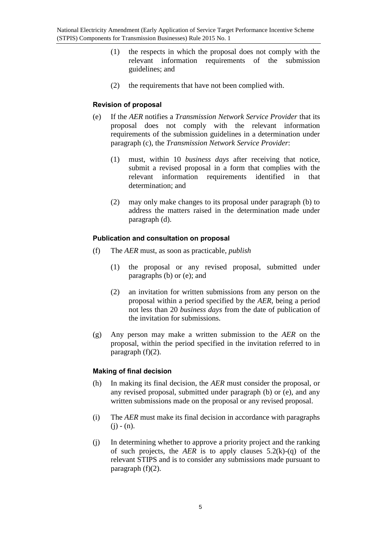- (1) the respects in which the proposal does not comply with the relevant information requirements of the submission guidelines; and
- (2) the requirements that have not been complied with.

## **Revision of proposal**

- (e) If the *AER* notifies a *Transmission Network Service Provider* that its proposal does not comply with the relevant information requirements of the submission guidelines in a determination under paragraph (c), the *Transmission Network Service Provider*:
	- (1) must, within 10 *business days* after receiving that notice, submit a revised proposal in a form that complies with the relevant information requirements identified in that determination; and
	- (2) may only make changes to its proposal under paragraph (b) to address the matters raised in the determination made under paragraph (d).

### **Publication and consultation on proposal**

- (f) The *AER* must, as soon as practicable, *publish*
	- (1) the proposal or any revised proposal, submitted under paragraphs (b) or (e); and
	- (2) an invitation for written submissions from any person on the proposal within a period specified by the *AER*, being a period not less than 20 *business days* from the date of publication of the invitation for submissions.
- (g) Any person may make a written submission to the *AER* on the proposal, within the period specified in the invitation referred to in paragraph (f)(2).

## **Making of final decision**

- (h) In making its final decision, the *AER* must consider the proposal, or any revised proposal, submitted under paragraph (b) or (e), and any written submissions made on the proposal or any revised proposal.
- (i) The *AER* must make its final decision in accordance with paragraphs  $(i) - (n)$ .
- (j) In determining whether to approve a priority project and the ranking of such projects, the *AER* is to apply clauses 5.2(k)-(q) of the relevant STIPS and is to consider any submissions made pursuant to paragraph (f)(2).